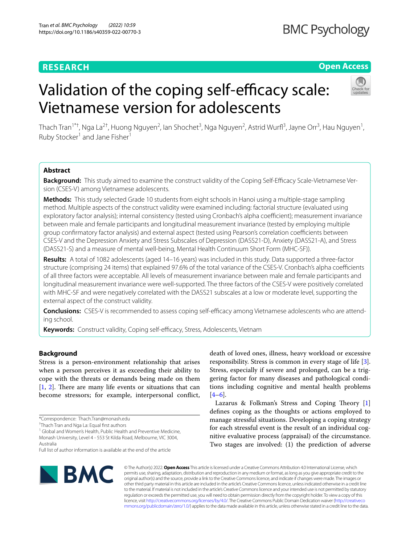# **RESEARCH**

# **Open Access**

# Validation of the coping self-efficacy scale: Vietnamese version for adolescents



Thach Tran<sup>1\*†</sup>, Nga La<sup>2†</sup>, Huong Nguyen<sup>2</sup>, lan Shochet<sup>3</sup>, Nga Nguyen<sup>2</sup>, Astrid Wurfl<sup>3</sup>, Jayne Orr<sup>3</sup>, Hau Nguyen<sup>1</sup>, Ruby Stocker<sup>1</sup> and Jane Fisher<sup>1</sup>

# **Abstract**

**Background:** This study aimed to examine the construct validity of the Coping Self-Efficacy Scale-Vietnamese Version (CSES-V) among Vietnamese adolescents.

**Methods:** This study selected Grade 10 students from eight schools in Hanoi using a multiple-stage sampling method. Multiple aspects of the construct validity were examined including: factorial structure (evaluated using exploratory factor analysis); internal consistency (tested using Cronbach's alpha coefficient); measurement invariance between male and female participants and longitudinal measurement invariance (tested by employing multiple group confirmatory factor analysis) and external aspect (tested using Pearson's correlation coefficients between CSES-V and the Depression Anxiety and Stress Subscales of Depression (DASS21-D), Anxiety (DASS21-A), and Stress (DASS21-S) and a measure of mental well-being, Mental Health Continuum Short Form (MHC-SF)).

**Results:** A total of 1082 adolescents (aged 14–16 years) was included in this study. Data supported a three-factor structure (comprising 24 items) that explained 97.6% of the total variance of the CSES-V. Cronbach's alpha coefficients of all three factors were acceptable. All levels of measurement invariance between male and female participants and longitudinal measurement invariance were well-supported. The three factors of the CSES-V were positively correlated with MHC-SF and were negatively correlated with the DASS21 subscales at a low or moderate level, supporting the external aspect of the construct validity.

**Conclusions:** CSES-V is recommended to assess coping self-efficacy among Vietnamese adolescents who are attending school.

Keywords: Construct validity, Coping self-efficacy, Stress, Adolescents, Vietnam

# **Background**

Stress is a person-environment relationship that arises when a person perceives it as exceeding their ability to cope with the threats or demands being made on them  $[1, 2]$  $[1, 2]$  $[1, 2]$  $[1, 2]$ . There are many life events or situations that can become stressors; for example, interpersonal confict,

<sup>1</sup> Global and Women's Health, Public Health and Preventive Medicine, Monash University, Level 4 - 553 St Kilda Road, Melbourne, VIC 3004, Australia

Full list of author information is available at the end of the article



death of loved ones, illness, heavy workload or excessive responsibility. Stress is common in every stage of life [\[3](#page-7-2)]. Stress, especially if severe and prolonged, can be a triggering factor for many diseases and pathological conditions including cognitive and mental health problems  $[4-6]$  $[4-6]$ .

Lazarus & Folkman's Stress and Coping Theory  $[1]$  $[1]$ defnes coping as the thoughts or actions employed to manage stressful situations. Developing a coping strategy for each stressful event is the result of an individual cognitive evaluative process (appraisal) of the circumstance. Two stages are involved: (1) the prediction of adverse

© The Author(s) 2022. **Open Access** This article is licensed under a Creative Commons Attribution 4.0 International License, which permits use, sharing, adaptation, distribution and reproduction in any medium or format, as long as you give appropriate credit to the original author(s) and the source, provide a link to the Creative Commons licence, and indicate if changes were made. The images or other third party material in this article are included in the article's Creative Commons licence, unless indicated otherwise in a credit line to the material. If material is not included in the article's Creative Commons licence and your intended use is not permitted by statutory regulation or exceeds the permitted use, you will need to obtain permission directly from the copyright holder. To view a copy of this licence, visit [http://creativecommons.org/licenses/by/4.0/.](http://creativecommons.org/licenses/by/4.0/) The Creative Commons Public Domain Dedication waiver ([http://creativeco](http://creativecommons.org/publicdomain/zero/1.0/) [mmons.org/publicdomain/zero/1.0/](http://creativecommons.org/publicdomain/zero/1.0/)) applies to the data made available in this article, unless otherwise stated in a credit line to the data.

<sup>\*</sup>Correspondence: Thach.Tran@monash.edu

<sup>†</sup> Thach Tran and Nga La: Equal frst authors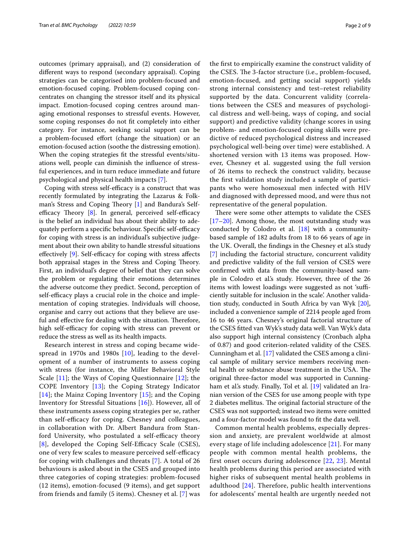outcomes (primary appraisal), and (2) consideration of diferent ways to respond (secondary appraisal). Coping strategies can be categorised into problem-focused and emotion-focused coping. Problem-focused coping concentrates on changing the stressor itself and its physical impact. Emotion-focused coping centres around managing emotional responses to stressful events. However, some coping responses do not ft completely into either category. For instance, seeking social support can be a problem-focused effort (change the situation) or an emotion-focused action (soothe the distressing emotion). When the coping strategies ft the stressful events/situations well, people can diminish the infuence of stressful experiences, and in turn reduce immediate and future psychological and physical health impacts [[7\]](#page-7-5).

Coping with stress self-efficacy is a construct that was recently formulated by integrating the Lazarus & Folkman's Stress and Coping Theory  $[1]$  $[1]$  and Bandura's Selfefficacy Theory  $[8]$  $[8]$  $[8]$ . In general, perceived self-efficacy is the belief an individual has about their ability to adequately perform a specific behaviour. Specific self-efficacy for coping with stress is an individual's subjective judgement about their own ability to handle stressful situations effectively  $[9]$  $[9]$ . Self-efficacy for coping with stress affects both appraisal stages in the Stress and Coping Theory. First, an individual's degree of belief that they can solve the problem or regulating their emotions determines the adverse outcome they predict. Second, perception of self-efficacy plays a crucial role in the choice and implementation of coping strategies. Individuals will choose, organise and carry out actions that they believe are useful and effective for dealing with the situation. Therefore, high self-efficacy for coping with stress can prevent or reduce the stress as well as its health impacts.

Research interest in stress and coping became widespread in 1970s and 1980s [\[10](#page-7-8)], leading to the development of a number of instruments to assess coping with stress (for instance, the Miller Behavioral Style Scale [[11](#page-7-9)]; the Ways of Coping Questionnaire [\[12](#page-7-10)]; the COPE Inventory  $[13]$  $[13]$ ; the Coping Strategy Indicator [[14](#page-7-12)]; the Mainz Coping Inventory [[15](#page-7-13)]; and the Coping Inventory for Stressful Situations [\[16](#page-7-14)]). However, all of these instruments assess coping strategies per se, rather than self-efficacy for coping. Chesney and colleagues, in collaboration with Dr. Albert Bandura from Stanford University, who postulated a self-efficacy theory [[8](#page-7-6)], developed the Coping Self-Efficacy Scale (CSES), one of very few scales to measure perceived self-efficacy for coping with challenges and threats [\[7](#page-7-5)]. A total of 26 behaviours is asked about in the CSES and grouped into three categories of coping strategies: problem-focused (12 items), emotion-focused (9 items), and get support from friends and family (5 items). Chesney et al. [[7](#page-7-5)] was the frst to empirically examine the construct validity of the CSES. The 3-factor structure (i.e., problem-focused, emotion-focused, and getting social support) yields strong internal consistency and test–retest reliability supported by the data. Concurrent validity (correlations between the CSES and measures of psychological distress and well-being, ways of coping, and social support) and predictive validity (change scores in using problem- and emotion-focused coping skills were predictive of reduced psychological distress and increased psychological well-being over time) were established. A shortened version with 13 items was proposed. However, Chesney et al. suggested using the full version of 26 items to recheck the construct validity, because the frst validation study included a sample of participants who were homosexual men infected with HIV and diagnosed with depressed mood, and were thus not representative of the general population.

There were some other attempts to validate the CSES [[17–](#page-7-15)[20\]](#page-7-16). Among those, the most outstanding study was conducted by Colodro et al. [[18\]](#page-7-17) with a communitybased sample of 182 adults from 18 to 66 years of age in the UK. Overall, the fndings in the Chesney et al.'s study [[7\]](#page-7-5) including the factorial structure, concurrent validity and predictive validity of the full version of CSES were confrmed with data from the community-based sample in Colodro et al.'s study. However, three of the 26 items with lowest loadings were suggested as not 'sufficiently suitable for inclusion in the scale'. Another validation study, conducted in South Africa by van Wyk [\[20](#page-7-16)], included a convenience sample of 2214 people aged from 16 to 46 years. Chesney's original factorial structure of the CSES ftted van Wyk's study data well. Van Wyk's data also support high internal consistency (Cronbach alpha of 0.87) and good criterion-related validity of the CSES. Cunningham et al. [[17](#page-7-15)] validated the CSES among a clinical sample of military service members receiving mental health or substance abuse treatment in the USA. The original three-factor model was supported in Cunning-ham et al's study. Finally, Tol et al. [\[19](#page-7-18)] validated an Iranian version of the CSES for use among people with type 2 diabetes mellitus. The original factorial structure of the CSES was not supported; instead two items were omitted and a four-factor model was found to ft the data well.

Common mental health problems, especially depression and anxiety, are prevalent worldwide at almost every stage of life including adolescence [\[21\]](#page-7-19). For many people with common mental health problems, the first onset occurs during adolescence [[22](#page-8-0), [23](#page-8-1)]. Mental health problems during this period are associated with higher risks of subsequent mental health problems in adulthood  $[24]$  $[24]$  $[24]$ . Therefore, public health interventions for adolescents' mental health are urgently needed not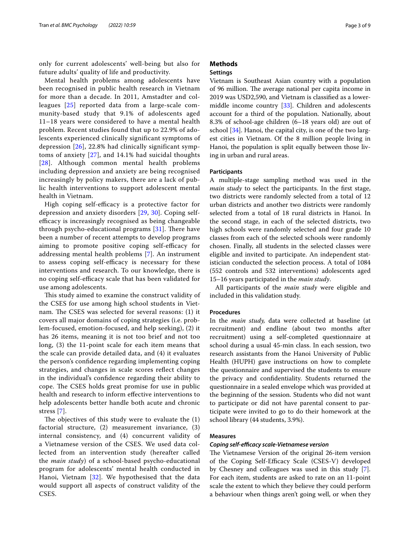only for current adolescents' well-being but also for future adults' quality of life and productivity.

Mental health problems among adolescents have been recognised in public health research in Vietnam for more than a decade. In 2011, Amstadter and colleagues [[25\]](#page-8-3) reported data from a large-scale community-based study that 9.1% of adolescents aged 11–18 years were considered to have a mental health problem. Recent studies found that up to 22.9% of adolescents experienced clinically significant symptoms of depression [\[26](#page-8-4)], 22.8% had clinically significant symptoms of anxiety [[27](#page-8-5)], and 14.1% had suicidal thoughts [[28](#page-8-6)]. Although common mental health problems including depression and anxiety are being recognised increasingly by policy makers, there are a lack of public health interventions to support adolescent mental health in Vietnam.

High coping self-efficacy is a protective factor for depression and anxiety disorders [[29,](#page-8-7) [30\]](#page-8-8). Coping selfefficacy is increasingly recognised as being changeable through psycho-educational programs  $[31]$ . There have been a number of recent attempts to develop programs aiming to promote positive coping self-efficacy for addressing mental health problems [\[7\]](#page-7-5). An instrument to assess coping self-efficacy is necessary for these interventions and research. To our knowledge, there is no coping self-efficacy scale that has been validated for use among adolescents.

This study aimed to examine the construct validity of the CSES for use among high school students in Vietnam. The CSES was selected for several reasons: (1) it covers all major domains of coping strategies (i.e. problem-focused, emotion-focused, and help seeking), (2) it has 26 items, meaning it is not too brief and not too long, (3) the 11-point scale for each item means that the scale can provide detailed data, and (4) it evaluates the person's confdence regarding implementing coping strategies, and changes in scale scores refect changes in the individual's confdence regarding their ability to cope. The CSES holds great promise for use in public health and research to inform efective interventions to help adolescents better handle both acute and chronic stress [\[7](#page-7-5)].

The objectives of this study were to evaluate the  $(1)$ factorial structure, (2) measurement invariance, (3) internal consistency, and (4) concurrent validity of a Vietnamese version of the CSES. We used data collected from an intervention study (hereafter called the *main study*) of a school-based psycho-educational program for adolescents' mental health conducted in Hanoi, Vietnam [[32\]](#page-8-10). We hypothesised that the data would support all aspects of construct validity of the CSES.

# **Methods Settings**

Vietnam is Southeast Asian country with a population of 96 million. The average national per capita income in 2019 was USD2,590, and Vietnam is classifed as a lowermiddle income country [[33\]](#page-8-11). Children and adolescents account for a third of the population. Nationally, about 8.3% of school-age children (6–18 years old) are out of school [\[34\]](#page-8-12). Hanoi, the capital city, is one of the two largest cities in Vietnam. Of the 8 million people living in Hanoi, the population is split equally between those living in urban and rural areas.

# **Participants**

A multiple-stage sampling method was used in the *main study* to select the participants. In the first stage, two districts were randomly selected from a total of 12 urban districts and another two districts were randomly selected from a total of 18 rural districts in Hanoi. In the second stage, in each of the selected districts, two high schools were randomly selected and four grade 10 classes from each of the selected schools were randomly chosen. Finally, all students in the selected classes were eligible and invited to participate. An independent statistician conducted the selection process. A total of 1084 (552 controls and 532 interventions) adolescents aged 15–16 years participated in the *main study*.

All participants of the *main study* were eligible and included in this validation study.

# **Procedures**

In the *main study,* data were collected at baseline (at recruitment) and endline (about two months after recruitment) using a self-completed questionnaire at school during a usual 45-min class. In each session, two research assistants from the Hanoi University of Public Health (HUPH) gave instructions on how to complete the questionnaire and supervised the students to ensure the privacy and confdentiality. Students returned the questionnaire in a sealed envelope which was provided at the beginning of the session. Students who did not want to participate or did not have parental consent to participate were invited to go to do their homework at the school library (44 students, 3.9%).

# **Measures**

# *Coping self‑efcacy scale‑Vietnamese version*

The Vietnamese Version of the original 26-item version of the Coping Self-Efficacy Scale (CSES-V) developed by Chesney and colleagues was used in this study [\[7](#page-7-5)]. For each item, students are asked to rate on an 11-point scale the extent to which they believe they could perform a behaviour when things aren't going well, or when they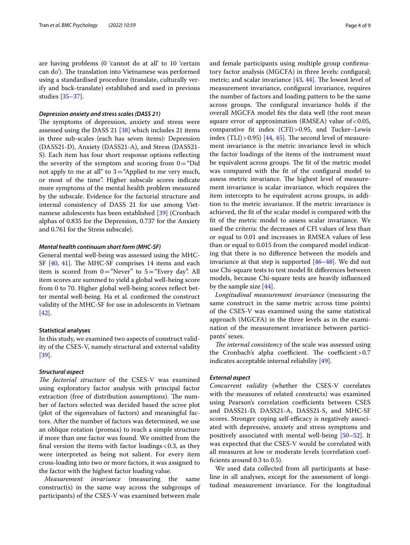are having problems (0 'cannot do at all' to 10 'certain can do'). The translation into Vietnamese was performed using a standardised procedure (translate, culturally verify and back-translate) established and used in previous studies [[35](#page-8-13)[–37](#page-8-14)].

# *Depression anxiety and stress scales (DASS 21)*

The symptoms of depression, anxiety and stress were assessed using the DASS 21 [\[38](#page-8-15)] which includes 21 items in three sub-scales (each has seven items): Depression (DASS21-D), Anxiety (DASS21-A), and Stress (DASS21- S). Each item has four short response options refecting the severity of the symptom and scoring from  $0=$  "Did" not apply to me at all" to  $3=$ "Applied to me very much, or most of the time". Higher subscale scores indicate more symptoms of the mental health problem measured by the subscale. Evidence for the factorial structure and internal consistency of DASS 21 for use among Vietnamese adolescents has been established [\[39\]](#page-8-16) (Cronbach alphas of 0.835 for the Depression, 0.737 for the Anxiety and 0.761 for the Stress subscale).

# *Mental health continuum short form (MHC‑SF)*

General mental well-being was assessed using the MHC-SF  $[40, 41]$  $[40, 41]$  $[40, 41]$  $[40, 41]$  $[40, 41]$ . The MHC-SF comprises 14 items and each item is scored from  $0=$  "Never" to  $5=$  "Every day". All item scores are summed to yield a global well-being score from 0 to 70. Higher global well-being scores refect better mental well-being. Ha et al. confrmed the construct validity of the MHC-SF for use in adolescents in Vietnam [[42\]](#page-8-19).

# **Statistical analyses**

In this study, we examined two aspects of construct validity of the CSES-V, namely structural and external validity [[39\]](#page-8-16).

# *Structural aspect*

The factorial structure of the CSES-V was examined using exploratory factor analysis with principal factor extraction (free of distribution assumptions). The number of factors selected was decided based the scree plot (plot of the eigenvalues of factors) and meaningful factors. After the number of factors was determined, we use an oblique rotation (promax) to reach a simple structure if more than one factor was found. We omitted from the final version the items with factor loadings  $< 0.3$ , as they were interpreted as being not salient. For every item cross-loading into two or more factors, it was assigned to the factor with the highest factor loading value.

*Measurement invariance* (measuring the same construct(s) in the same way across the subgroups of participants) of the CSES-V was examined between male and female participants using multiple group confrmatory factor analysis (MGCFA) in three levels: confgural; metric; and scalar invariance  $[43, 44]$  $[43, 44]$  $[43, 44]$ . The lowest level of measurement invariance, confgural invariance, requires the number of factors and loading pattern to be the same across groups. The configural invariance holds if the overall MGCFA model fts the data well (the root mean square error of approximation (RMSEA) value of  $< 0.05$ , comparative ft index (CFI)>0.95, and Tucker–Lewis index  $(TLI) > 0.95$  [[44,](#page-8-21) [45\]](#page-8-22). The second level of measurement invariance is the metric invariance level in which the factor loadings of the items of the instrument must be equivalent across groups. The fit of the metric model was compared with the ft of the confgural model to assess metric invariance. The highest level of measurement invariance is scalar invariance, which requires the item intercepts to be equivalent across groups, in addition to the metric invariance. If the metric invariance is achieved, the ft of the scalar model is compared with the ft of the metric model to assess scalar invariance. We used the criteria: the decreases of CFI values of less than or equal to 0.01 and increases in RMSEA values of less than or equal to 0.015 from the compared model indicating that there is no diference between the models and invariance at that step is supported [[46](#page-8-23)[–48](#page-8-24)]. We did not use Chi-square tests to test model ft diferences between models, because Chi-square tests are heavily infuenced by the sample size [[44\]](#page-8-21).

*Longitudinal measurement invariance* (measuring the same construct in the same metric across time points) of the CSES-V was examined using the same statistical approach (MGCFA) in the three levels as in the examination of the measurement invariance between participants' sexes.

*The internal consistency* of the scale was assessed using the Cronbach's alpha coefficient. The coefficient >  $0.7$ indicates acceptable internal reliability [[49\]](#page-8-25).

# *External aspect*

*Concurrent validity* (whether the CSES-V correlates with the measures of related constructs) was examined using Pearson's correlation coefficients between CSES and DASS21-D, DASS21-A, DASS21-S, and MHC-SF scores. Stronger coping self-efficacy is negatively associated with depressive, anxiety and stress symptoms and positively associated with mental well-being [\[50](#page-8-26)[–52\]](#page-8-27). It was expected that the CSES-V would be correlated with all measures at low or moderate levels (correlation coefficients around 0.3 to 0.5).

We used data collected from all participants at baseline in all analyses, except for the assessment of longitudinal measurement invariance. For the longitudinal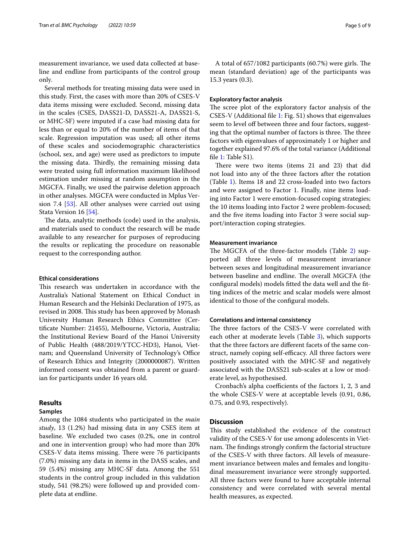measurement invariance, we used data collected at baseline and endline from participants of the control group only.

Several methods for treating missing data were used in this study. First, the cases with more than 20% of CSES-V data items missing were excluded. Second, missing data in the scales (CSES, DASS21-D, DASS21-A, DASS21-S, or MHC-SF) were imputed if a case had missing data for less than or equal to 20% of the number of items of that scale. Regression imputation was used; all other items of these scales and sociodemographic characteristics (school, sex, and age) were used as predictors to impute the missing data. Thirdly, the remaining missing data were treated using full information maximum likelihood estimation under missing at random assumption in the MGCFA. Finally, we used the pairwise deletion approach in other analyses. MGCFA were conducted in Mplus Version 7.4 [[53](#page-8-28)]. All other analyses were carried out using Stata Version 16 [\[54](#page-8-29)].

The data, analytic methods (code) used in the analysis, and materials used to conduct the research will be made available to any researcher for purposes of reproducing the results or replicating the procedure on reasonable request to the corresponding author.

# **Ethical considerations**

This research was undertaken in accordance with the Australia's National Statement on Ethical Conduct in Human Research and the Helsinki Declaration of 1975, as revised in 2008. This study has been approved by Monash University Human Research Ethics Committee (Certifcate Number: 21455), Melbourne, Victoria, Australia; the Institutional Review Board of the Hanoi University of Public Health (488/2019/YTCC-HD3), Hanoi, Vietnam; and Queensland University of Technology's Office of Research Ethics and Integrity (2000000087). Written informed consent was obtained from a parent or guardian for participants under 16 years old.

# **Results**

# **Samples**

Among the 1084 students who participated in the *main study*, 13 (1.2%) had missing data in any CSES item at baseline. We excluded two cases (0.2%, one in control and one in intervention group) who had more than 20% CSES-V data items missing. There were 76 participants (7.0%) missing any data in items in the DASS scales, and 59 (5.4%) missing any MHC-SF data. Among the 551 students in the control group included in this validation study, 541 (98.2%) were followed up and provided complete data at endline.

A total of 657/1082 participants (60.7%) were girls. The mean (standard deviation) age of the participants was 15.3 years (0.3).

# **Exploratory factor analysis**

The scree plot of the exploratory factor analysis of the CSES-V (Additional fle [1:](#page-7-20) Fig. S1) shows that eigenvalues seem to level off between three and four factors, suggesting that the optimal number of factors is three. The three factors with eigenvalues of approximately 1 or higher and together explained 97.6% of the total variance (Additional file [1](#page-7-20): Table S1).

There were two items (items 21 and 23) that did not load into any of the three factors after the rotation (Table [1](#page-5-0)). Items 18 and 22 cross-loaded into two factors and were assigned to Factor 1. Finally, nine items loading into Factor 1 were emotion-focused coping strategies; the 10 items loading into Factor 2 were problem-focused; and the fve items loading into Factor 3 were social support/interaction coping strategies.

# **Measurement invariance**

The MGCFA of the three-factor models (Table [2](#page-5-1)) supported all three levels of measurement invariance between sexes and longitudinal measurement invariance between baseline and endline. The overall MGCFA (the confgural models) models ftted the data well and the ftting indices of the metric and scalar models were almost identical to those of the confgural models.

# **Correlations and internal consistency**

The three factors of the CSES-V were correlated with each other at moderate levels (Table [3\)](#page-6-0), which supports that the three factors are diferent facets of the same construct, namely coping self-efficacy. All three factors were positively associated with the MHC-SF and negatively associated with the DASS21 sub-scales at a low or moderate level, as hypothesised.

Cronbach's alpha coefficients of the factors 1, 2, 3 and the whole CSES-V were at acceptable levels (0.91, 0.86, 0.75, and 0.93, respectively).

# **Discussion**

This study established the evidence of the construct validity of the CSES-V for use among adolescents in Vietnam. The findings strongly confirm the factorial structure of the CSES-V with three factors. All levels of measurement invariance between males and females and longitudinal measurement invariance were strongly supported. All three factors were found to have acceptable internal consistency and were correlated with several mental health measures, as expected.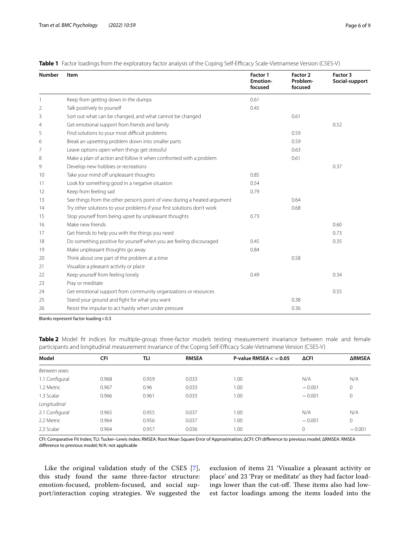| <b>Number</b> | Item                                                                      | Factor 1<br><b>Emotion-</b><br>focused | Factor 2<br>Problem-<br>focused | Factor 3<br>Social-support |
|---------------|---------------------------------------------------------------------------|----------------------------------------|---------------------------------|----------------------------|
|               | Keep from getting down in the dumps                                       | 0.61                                   |                                 |                            |
| 2             | Talk positively to yourself                                               | 0.45                                   |                                 |                            |
| 3             | Sort out what can be changed, and what cannot be changed                  |                                        | 0.61                            |                            |
| 4             | Get emotional support from friends and family                             |                                        |                                 | 0.52                       |
| 5             | Find solutions to your most difficult problems                            |                                        | 0.59                            |                            |
| 6             | Break an upsetting problem down into smaller parts                        |                                        | 0.59                            |                            |
| 7             | Leave options open when things get stressful                              |                                        | 0.63                            |                            |
| 8             | Make a plan of action and follow it when confronted with a problem        |                                        | 0.61                            |                            |
| 9             | Develop new hobbies or recreations                                        |                                        |                                 | 0.37                       |
| 10            | Take your mind off unpleasant thoughts                                    | 0.85                                   |                                 |                            |
| 11            | Look for something good in a negative situation                           | 0.54                                   |                                 |                            |
| 12            | Keep from feeling sad                                                     | 0.79                                   |                                 |                            |
| 13            | See things from the other person's point of view during a heated argument |                                        | 0.64                            |                            |
| 14            | Try other solutions to your problems if your first solutions don't work   |                                        | 0.68                            |                            |
| 15            | Stop yourself from being upset by unpleasant thoughts                     | 0.73                                   |                                 |                            |
| 16            | Make new friends                                                          |                                        |                                 | 0.60                       |
| 17            | Get friends to help you with the things you need                          |                                        |                                 | 0.73                       |
| 18            | Do something positive for yourself when you are feeling discouraged       | 0.45                                   |                                 | 0.35                       |
| 19            | Make unpleasant thoughts go away                                          | 0.84                                   |                                 |                            |
| 20            | Think about one part of the problem at a time                             |                                        | 0.58                            |                            |
| 21            | Visualize a pleasant activity or place                                    |                                        |                                 |                            |
| 22            | Keep yourself from feeling lonely                                         | 0.49                                   |                                 | 0.34                       |
| 23            | Pray or meditate                                                          |                                        |                                 |                            |
| 24            | Get emotional support from community organizations or resources           |                                        |                                 | 0.55                       |
| 25            | Stand your ground and fight for what you want                             |                                        | 0.38                            |                            |
| 26            | Resist the impulse to act hastily when under pressure                     |                                        | 0.36                            |                            |

# <span id="page-5-0"></span>**Table 1** Factor loadings from the exploratory factor analysis of the Coping Self-Efficacy Scale-Vietnamese Version (CSES-V)

Blanks represent factor loading < 0.3

<span id="page-5-1"></span>**Table 2** Model fit indices for multiple-group three-factor models testing measurement invariance between male and female participants and longitudinal measurement invariance of the Coping Self-Efficacy Scale-Vietnamese Version (CSES-V)

| Model          | <b>CFI</b> | TLI   | <b>RMSEA</b> | P-value RMSEA $<$ = 0.05 | <b>ΔCFI</b> | <b>ARMSEA</b> |
|----------------|------------|-------|--------------|--------------------------|-------------|---------------|
| Between sexes  |            |       |              |                          |             |               |
| 1.1 Configural | 0.968      | 0.959 | 0.033        | 1.00                     | N/A         | N/A           |
| 1.2 Metric     | 0.967      | 0.96  | 0.033        | 1.00                     | $-0.001$    | $\mathbf{0}$  |
| 1.3 Scalar     | 0.966      | 0.961 | 0.033        | 1.00                     | $-0.001$    | 0             |
| Longitudinal   |            |       |              |                          |             |               |
| 2.1 Configural | 0.965      | 0.955 | 0.037        | 1.00                     | N/A         | N/A           |
| 2.2 Metric     | 0.964      | 0.956 | 0.037        | $-0.001$<br>1.00         |             | $\mathbf{0}$  |
| 2.3 Scalar     | 0.964      | 0.957 | 0.036        | 1.00                     | 0           | $-0.001$      |

CFI: Comparative Fit Index; TLI: Tucker–Lewis index; RMSEA: Root Mean Square Error of Approximation; ΔCFI: CFI diference to previous model; ΔRMSEA: RMSEA diference to previous model; N/A: not applicable

Like the original validation study of the CSES [[7\]](#page-7-5), this study found the same three-factor structure: emotion-focused, problem-focused, and social support/interaction coping strategies. We suggested the

exclusion of items 21 'Visualize a pleasant activity or place' and 23 'Pray or meditate' as they had factor loadings lower than the cut-off. These items also had lowest factor loadings among the items loaded into the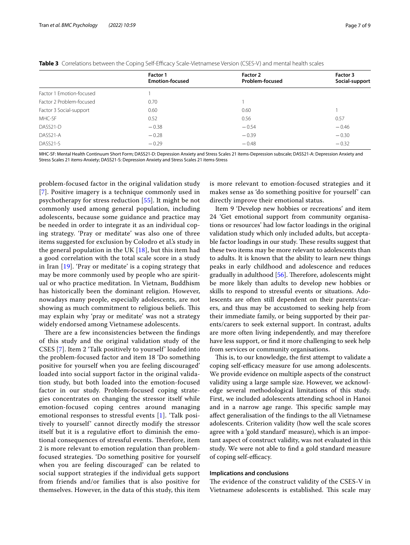|                          | Factor 1<br><b>Emotion-focused</b> | Factor 2<br>Problem-focused | Factor 3<br>Social-support |  |
|--------------------------|------------------------------------|-----------------------------|----------------------------|--|
| Factor 1 Emotion-focused |                                    |                             |                            |  |
| Factor 2 Problem-focused | 0.70                               |                             |                            |  |
| Factor 3 Social-support  | 0.60                               | 0.60                        |                            |  |
| MHC-SF                   | 0.52                               | 0.56                        | 0.57                       |  |
| DASS21-D                 | $-0.38$                            | $-0.54$                     | $-0.46$                    |  |
| DASS21-A                 | $-0.28$                            | $-0.39$                     | $-0.30$                    |  |
| DASS21-S<br>$-0.29$      |                                    | $-0.48$                     | $-0.32$                    |  |

<span id="page-6-0"></span>

|  | Table 3 Correlations between the Coping Self-Efficacy Scale-Vietnamese Version (CSES-V) and mental health scales |  |  |  |  |  |
|--|------------------------------------------------------------------------------------------------------------------|--|--|--|--|--|
|--|------------------------------------------------------------------------------------------------------------------|--|--|--|--|--|

MHC-SF: Mental Health Continuum Short Form; DASS21-D: Depression Anxiety and Stress Scales 21 items-Depression subscale; DASS21-A: Depression Anxiety and Stress Scales 21 items-Anxiety; DASS21-S: Depression Anxiety and Stress Scales 21 items-Stress

problem-focused factor in the original validation study [[7](#page-7-5)]. Positive imagery is a technique commonly used in psychotherapy for stress reduction [[55\]](#page-8-30). It might be not commonly used among general population, including adolescents, because some guidance and practice may be needed in order to integrate it as an individual coping strategy. 'Pray or meditate' was also one of three items suggested for exclusion by Colodro et al.'s study in the general population in the UK  $[18]$  $[18]$ , but this item had a good correlation with the total scale score in a study in Iran [[19\]](#page-7-18). 'Pray or meditate' is a coping strategy that may be more commonly used by people who are spiritual or who practice meditation. In Vietnam, Buddhism has historically been the dominant religion. However, nowadays many people, especially adolescents, are not showing as much commitment to religious beliefs. This may explain why 'pray or meditate' was not a strategy widely endorsed among Vietnamese adolescents.

There are a few inconsistencies between the findings of this study and the original validation study of the CSES [\[7](#page-7-5)]. Item 2 'Talk positively to yourself' loaded into the problem-focused factor and item 18 'Do something positive for yourself when you are feeling discouraged' loaded into social support factor in the original validation study, but both loaded into the emotion-focused factor in our study. Problem-focused coping strategies concentrates on changing the stressor itself while emotion-focused coping centres around managing emotional responses to stressful events [\[1\]](#page-7-0). 'Talk positively to yourself' cannot directly modify the stressor itself but it is a regulative efort to diminish the emotional consequences of stressful events. Therefore, item 2 is more relevant to emotion regulation than problemfocused strategies. 'Do something positive for yourself when you are feeling discouraged' can be related to social support strategies if the individual gets support from friends and/or families that is also positive for themselves. However, in the data of this study, this item is more relevant to emotion-focused strategies and it makes sense as 'do something positive for yourself' can directly improve their emotional status.

Item 9 'Develop new hobbies or recreations' and item 24 'Get emotional support from community organisations or resources' had low factor loadings in the original validation study which only included adults, but acceptable factor loadings in our study. These results suggest that these two items may be more relevant to adolescents than to adults. It is known that the ability to learn new things peaks in early childhood and adolescence and reduces gradually in adulthood  $[56]$  $[56]$ . Therefore, adolescents might be more likely than adults to develop new hobbies or skills to respond to stressful events or situations. Adolescents are often still dependent on their parents/carers, and thus may be accustomed to seeking help from their immediate family, or being supported by their parents/carers to seek external support. In contrast, adults are more often living independently, and may therefore have less support, or fnd it more challenging to seek help from services or community organisations.

This is, to our knowledge, the first attempt to validate a coping self-efficacy measure for use among adolescents. We provide evidence on multiple aspects of the construct validity using a large sample size. However, we acknowledge several methodological limitations of this study. First, we included adolescents attending school in Hanoi and in a narrow age range. This specific sample may afect generalisation of the fndings to the all Vietnamese adolescents. Criterion validity (how well the scale scores agree with a 'gold standard' measure), which is an important aspect of construct validity, was not evaluated in this study. We were not able to fnd a gold standard measure of coping self-efficacy.

# **Implications and conclusions**

The evidence of the construct validity of the CSES-V in Vietnamese adolescents is established. This scale may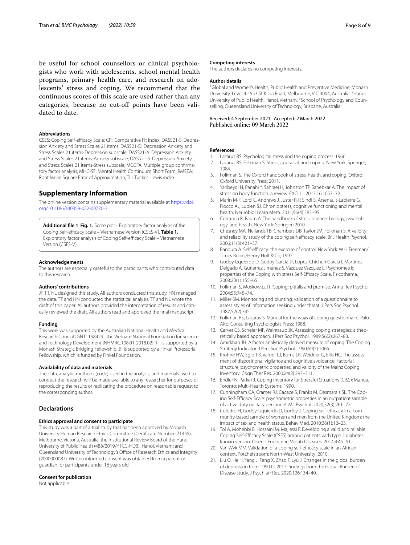be useful for school counsellors or clinical psychologists who work with adolescents, school mental health programs, primary health care, and research on adolescents' stress and coping. We recommend that the continuous scores of this scale are used rather than any categories, because no cut-off points have been validated to date.

# **Abbreviations**

CSES: Coping Self-efficacy Scale; CFI: Comparative Fit Index; DASS21-S: Depression Anxiety and Stress Scales 21 items; DASS21-D: Depression Anxiety and Stress Scales 21 items-Depression subscale; DASS21-A: Depression Anxiety and Stress Scales 21 items-Anxiety subscale; DASS21-S: Depression Anxiety and Stress Scales 21 items-Stress subscale; MGCFA: Multiple group confrmatory factor analysis; MHC-SF: Mental Health Continuum Short Form; RMSEA: Root Mean Square Error of Approximation; TLI: Tucker–Lewis index.

# **Supplementary Information**

The online version contains supplementary material available at [https://doi.](https://doi.org/10.1186/s40359-022-00770-3) [org/10.1186/s40359-022-00770-3](https://doi.org/10.1186/s40359-022-00770-3).

<span id="page-7-20"></span>**Additional fle 1**. **Fig. 1.** Scree plot - Exploratory factor analysis of the Coping Self-efficacy Scale - Vietnamese Version (CSES-V). Table 1. Exploratory factor analysis of Coping Self-efficacy Scale - Vietnamese Version (CSES-V).

#### **Acknowledgements**

The authors are especially grateful to the participants who contributed data to this research.

#### **Authors' contributions**

JF, TT, NL designed this study. All authors conducted this study. HN managed the data. TT and HN conducted the statistical analysis. TT and NL wrote the draft of this paper. All authors provided the interpretation of results and critically reviewed the draft. All authors read and approved the fnal manuscript.

#### **Funding**

This work was supported by the Australian National Health and Medical Research Council [GNT1158429]; the Vietnam National Foundation for Science and Technology Development [NHMRC.108.01-2018.02]. TT is supported by a Monash Strategic Bridging Fellowship; JF is supported by a Finkel Professorial Fellowship, which is funded by Finkel Foundation.

### **Availability of data and materials**

The data, analytic methods (code) used in the analysis, and materials used to conduct the research will be made available to any researcher for purposes of reproducing the results or replicating the procedure on reasonable request to the corresponding author.

# **Declarations**

### **Ethics approval and consent to participate**

This study was a part of a trial study that has been approved by Monash University Human Research Ethics Committee (Certifcate Number: 21455), Melbourne, Victoria, Australia; the Institutional Review Board of the Hanoi University of Public Health (488/2019/YTCC-HD3), Hanoi, Vietnam; and Queensland University of Technology's Office of Research Ethics and Integrity (2000000087). Written informed consent was obtained from a parent or guardian for participants under 16 years old.

#### **Consent for publication**

Not applicable.

### **Competing interests**

The authors declares no competing interests.

## **Author details**

<sup>1</sup> Global and Women's Health, Public Health and Preventive Medicine, Monash University, Level 4 - 553 St Kilda Road, Melbourne, VIC 3004, Australia. <sup>2</sup> Hanoi University of Public Health, Hanoi, Vietnam. <sup>3</sup> School of Psychology and Counselling, Queensland University of Technology, Brisbane, Australia.

Received: 4 September 2021 Accepted: 2 March 2022

#### **References**

- <span id="page-7-0"></span>1. Lazarus RS. Psychological stress and the coping process. 1966.
- <span id="page-7-1"></span>2. Lazarus RS, Folkman S. Stress, appraisal, and coping. New York: Springer; 1984.
- <span id="page-7-2"></span>3. Folkman S. The Oxford handbook of stress, health, and coping. Oxford: Oxford University Press; 2011.
- <span id="page-7-3"></span>4. Yaribeygi H, Panahi Y, Sahraei H, Johnston TP, Sahebkar A. The impact of stress on body function: a review. EXCLI J. 2017;16:1057–72.
- 5. Marin M-F, Lord C, Andrews J, Juster R-P, Sindi S, Arsenault-Lapierre G, Fiocco AJ, Lupien SJ. Chronic stress, cognitive functioning and mental health. Neurobiol Learn Mem. 2011;96(4):583–95.
- <span id="page-7-4"></span>6. Contrada R, Baum A. The handbook of stress science: biology, psychology, and health. New York: Springer; 2010.
- <span id="page-7-5"></span>7. Chesney MA, Neilands TB, Chambers DB, Taylor JM, Folkman S. A validity and reliability study of the coping self-efficacy scale. Br J Health Psychol. 2006;11(3):421–37.
- <span id="page-7-6"></span>8. Bandura A. Self-efficacy: the exercise of control. New York: W H Freeman/ Times Books/Henry Holt & Co; 1997.
- <span id="page-7-7"></span>9. Godoy Izquierdo D, Godoy García JF, Lopez-Chicheri Garcia I, Martinez Delgado A, Gutierrez Jimenez S, Vazquez Vazquez L. Psychometric properties of the Coping with stress Self-Efficacy Scale. Psicothema. 2008;20(1):155–65.
- <span id="page-7-8"></span>10. Folkman S, Moskowitz JT. Coping: pitfalls and promise. Annu Rev Psychol. 2004;55:745–74.
- <span id="page-7-9"></span>11. Miller SM. Monitoring and blunting: validation of a questionnaire to assess styles of information seeking under threat. J Pers Soc Psychol. 1987;52(2):345.
- <span id="page-7-10"></span>12. Folkman RS, Lazarus S. Manual for the ways of coping questionnaire. Palo Alto: Consulting Psychologists Press; 1988.
- <span id="page-7-11"></span>13. Carver CS, Scheier MF, Weintraub JK. Assessing coping strategies: a theoretically based approach. J Pers Soc Psychol. 1989;56(2):267–83.
- <span id="page-7-12"></span>14. Amirkhan JH. A factor analytically derived measure of coping: The Coping Strategy Indicator. J Pers Soc Psychol. 1990;59(5):1066.
- <span id="page-7-13"></span>15. Krohne HW, Egloff B, Varner LJ, Burns LR, Weidner G, Ellis HC. The assessment of dispositional vigilance and cognitive avoidance: Factorial structure, psychometric properties, and validity of the Mainz Coping Inventory. Cogn Ther Res. 2000;24(3):297–311.
- <span id="page-7-14"></span>16. Endler N, Parker J. Coping Inventory for Stressful Situations (CISS): Manua. Toronto: Multi-Health Systems; 1990.
- <span id="page-7-15"></span>17. Cunningham CA, Cramer RJ, Cacace S, Franks M, Desmarais SL. The Coping Self-Efficacy Scale: psychometric properties in an outpatient sample of active duty military personnel. Mil Psychol. 2020;32(3):261–72.
- <span id="page-7-17"></span>18. Colodro H, Godoy-Izquierdo D, Godoy J. Coping self-efficacy in a community-based sample of women and men from the United Kingdom: the impact of sex and health status. Behav Med. 2010;36(1):12–23.
- <span id="page-7-18"></span>19. Tol A, Mohebbi B, Hossaini M, Majlessi F. Developing a valid and reliable Coping Self-Efficacy Scale (CSES) among patients with type 2 diabetes: Iranian version. Open J Endocrine Metab Diseases. 2014;4:45–51.
- <span id="page-7-16"></span>20. Van Wyk MM. Validation of a coping self-efficacy scale in an African context. Potchefstroom: North-West University; 2010.
- <span id="page-7-19"></span>21. Liu Q, He H, Yang J, Feng X, Zhao F, Lyu J. Changes in the global burden of depression from 1990 to 2017: fndings from the Global Burden of Disease study. J Psychiatr Res. 2020;126:134–40.